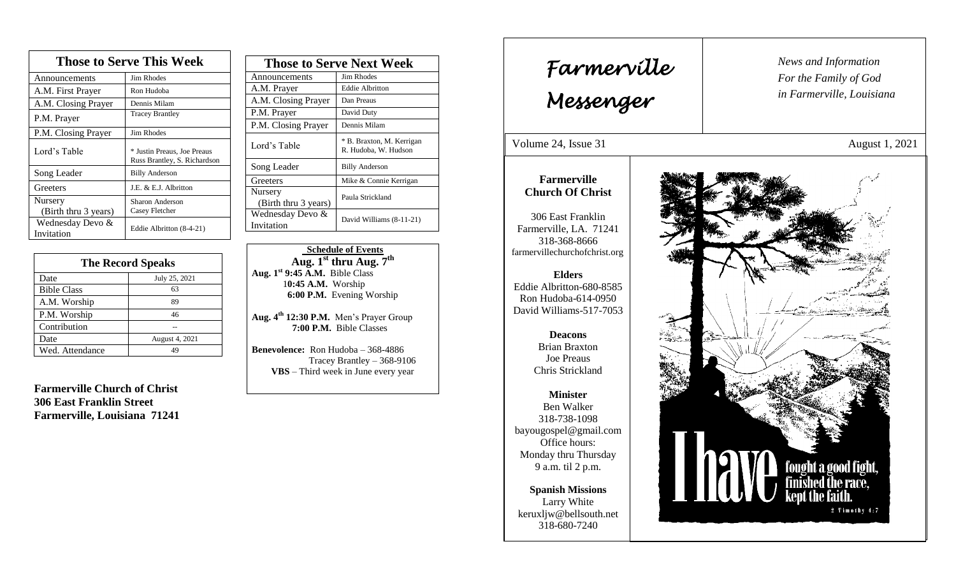| <b>Those to Serve This Week</b> |                                                             |  |
|---------------------------------|-------------------------------------------------------------|--|
| Announcements                   | Jim Rhodes                                                  |  |
| A.M. First Prayer               | Ron Hudoba                                                  |  |
| A.M. Closing Prayer             | Dennis Milam                                                |  |
| P.M. Prayer                     | <b>Tracey Brantley</b>                                      |  |
| P.M. Closing Prayer             | Jim Rhodes                                                  |  |
| Lord's Table                    | * Justin Preaus, Joe Preaus<br>Russ Brantley, S. Richardson |  |
| Song Leader                     | <b>Billy Anderson</b>                                       |  |
| Greeters                        | J.E. & E.J. Albritton                                       |  |
| Nursery<br>(Birth thru 3 years) | Sharon Anderson<br>Casey Fletcher                           |  |
| Wednesday Devo &<br>Invitation  | Eddie Albritton (8-4-21)                                    |  |

| <b>The Record Speaks</b> |                |  |
|--------------------------|----------------|--|
| Date                     | July 25, 2021  |  |
| <b>Bible Class</b>       | 63             |  |
| A.M. Worship             | 89             |  |
| P.M. Worship             | 46             |  |
| Contribution             |                |  |
| Date                     | August 4, 2021 |  |
| Wed. Attendance          | LQ             |  |

**Farmerville Church of Christ 306 East Franklin Street Farmerville, Louisiana 71241**

| <b>Those to Serve Next Week</b> |                                                   |
|---------------------------------|---------------------------------------------------|
| Announcements                   | Jim Rhodes                                        |
| A.M. Prayer                     | <b>Eddie Albritton</b>                            |
| A.M. Closing Prayer             | Dan Preaus                                        |
| P.M. Prayer                     | David Duty                                        |
| P.M. Closing Prayer             | Dennis Milam                                      |
| Lord's Table                    | * B. Braxton, M. Kerrigan<br>R. Hudoba, W. Hudson |
| Song Leader                     | <b>Billy Anderson</b>                             |
| Greeters                        | Mike & Connie Kerrigan                            |
| Nursery<br>(Birth thru 3 years) | Paula Strickland                                  |
| Wednesday Devo &<br>Invitation  | David Williams (8-11-21)                          |

 **Schedule of Events**  $\mathbf{Aug.1}^{\text{st}}$  **thru**  $\mathbf{Aug.7}^{\text{th}}$ **Aug. 1st 9:45 A.M.** Bible Class 1**0:45 A.M.** Worship  **6:00 P.M.** Evening Worship

**Aug. 4th 12:30 P.M.** Men's Prayer Group **7:00 P.M.** Bible Classes

**Benevolence:** Ron Hudoba – 368-4886 Tracey Brantley – 368-9106 **VBS** – Third week in June every year